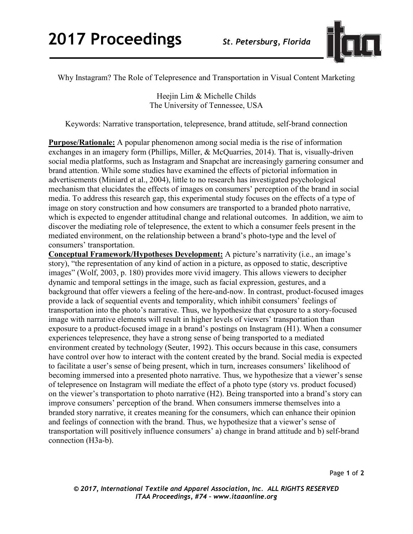

Why Instagram? The Role of Telepresence and Transportation in Visual Content Marketing

Heejin Lim & Michelle Childs The University of Tennessee, USA

Keywords: Narrative transportation, telepresence, brand attitude, self-brand connection

**Purpose/Rationale:** A popular phenomenon among social media is the rise of information exchanges in an imagery form (Phillips, Miller, & McQuarries, 2014). That is, visually-driven social media platforms, such as Instagram and Snapchat are increasingly garnering consumer and brand attention. While some studies have examined the effects of pictorial information in advertisements (Miniard et al., 2004), little to no research has investigated psychological mechanism that elucidates the effects of images on consumers' perception of the brand in social media. To address this research gap, this experimental study focuses on the effects of a type of image on story construction and how consumers are transported to a branded photo narrative, which is expected to engender attitudinal change and relational outcomes. In addition, we aim to discover the mediating role of telepresence, the extent to which a consumer feels present in the mediated environment, on the relationship between a brand's photo-type and the level of consumers' transportation.

**Conceptual Framework/Hypotheses Development:** A picture's narrativity (i.e., an image's story), "the representation of any kind of action in a picture, as opposed to static, descriptive images" (Wolf, 2003, p. 180) provides more vivid imagery. This allows viewers to decipher dynamic and temporal settings in the image, such as facial expression, gestures, and a background that offer viewers a feeling of the here-and-now. In contrast, product-focused images provide a lack of sequential events and temporality, which inhibit consumers' feelings of transportation into the photo's narrative. Thus, we hypothesize that exposure to a story-focused image with narrative elements will result in higher levels of viewers' transportation than exposure to a product-focused image in a brand's postings on Instagram (H1). When a consumer experiences telepresence, they have a strong sense of being transported to a mediated environment created by technology (Seuter, 1992). This occurs because in this case, consumers have control over how to interact with the content created by the brand. Social media is expected to facilitate a user's sense of being present, which in turn, increases consumers' likelihood of becoming immersed into a presented photo narrative. Thus, we hypothesize that a viewer's sense of telepresence on Instagram will mediate the effect of a photo type (story vs. product focused) on the viewer's transportation to photo narrative (H2). Being transported into a brand's story can improve consumers' perception of the brand. When consumers immerse themselves into a branded story narrative, it creates meaning for the consumers, which can enhance their opinion and feelings of connection with the brand. Thus, we hypothesize that a viewer's sense of transportation will positively influence consumers' a) change in brand attitude and b) self-brand connection (H3a-b).